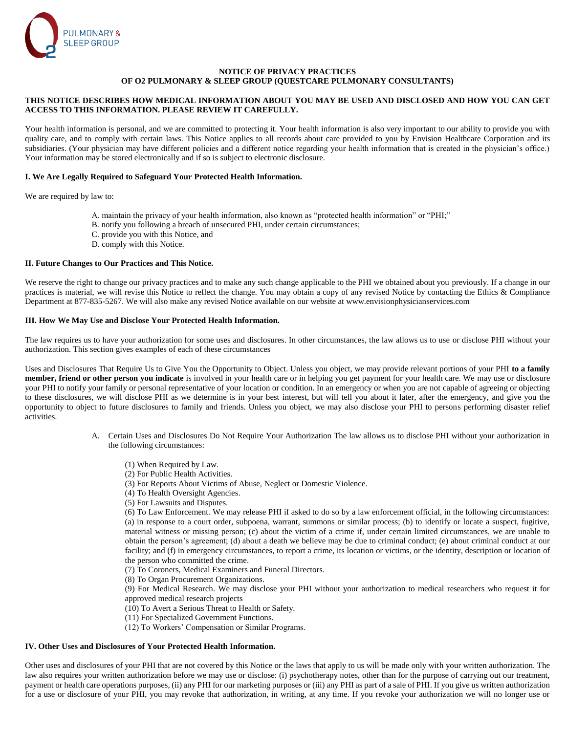

## **NOTICE OF PRIVACY PRACTICES OF O2 PULMONARY & SLEEP GROUP (QUESTCARE PULMONARY CONSULTANTS)**

# **THIS NOTICE DESCRIBES HOW MEDICAL INFORMATION ABOUT YOU MAY BE USED AND DISCLOSED AND HOW YOU CAN GET ACCESS TO THIS INFORMATION. PLEASE REVIEW IT CAREFULLY.**

Your health information is personal, and we are committed to protecting it. Your health information is also very important to our ability to provide you with quality care, and to comply with certain laws. This Notice applies to all records about care provided to you by Envision Healthcare Corporation and its subsidiaries. (Your physician may have different policies and a different notice regarding your health information that is created in the physician's office.) Your information may be stored electronically and if so is subject to electronic disclosure.

## **I. We Are Legally Required to Safeguard Your Protected Health Information.**

We are required by law to:

- A. maintain the privacy of your health information, also known as "protected health information" or "PHI;"
- B. notify you following a breach of unsecured PHI, under certain circumstances;
- C. provide you with this Notice, and
- D. comply with this Notice.

#### **II. Future Changes to Our Practices and This Notice.**

We reserve the right to change our privacy practices and to make any such change applicable to the PHI we obtained about you previously. If a change in our practices is material, we will revise this Notice to reflect the change. You may obtain a copy of any revised Notice by contacting the Ethics & Compliance Department at 877-835-5267. We will also make any revised Notice available on our website at www.envisionphysicianservices.com

#### **III. How We May Use and Disclose Your Protected Health Information.**

The law requires us to have your authorization for some uses and disclosures. In other circumstances, the law allows us to use or disclose PHI without your authorization. This section gives examples of each of these circumstances

Uses and Disclosures That Require Us to Give You the Opportunity to Object. Unless you object, we may provide relevant portions of your PHI **to a family member, friend or other person you indicate** is involved in your health care or in helping you get payment for your health care. We may use or disclosure your PHI to notify your family or personal representative of your location or condition. In an emergency or when you are not capable of agreeing or objecting to these disclosures, we will disclose PHI as we determine is in your best interest, but will tell you about it later, after the emergency, and give you the opportunity to object to future disclosures to family and friends. Unless you object, we may also disclose your PHI to persons performing disaster relief activities.

- A. Certain Uses and Disclosures Do Not Require Your Authorization The law allows us to disclose PHI without your authorization in the following circumstances:
	- (1) When Required by Law.
	- (2) For Public Health Activities.
	- (3) For Reports About Victims of Abuse, Neglect or Domestic Violence.
	- (4) To Health Oversight Agencies.
	- (5) For Lawsuits and Disputes.

(6) To Law Enforcement. We may release PHI if asked to do so by a law enforcement official, in the following circumstances: (a) in response to a court order, subpoena, warrant, summons or similar process; (b) to identify or locate a suspect, fugitive, material witness or missing person; (c) about the victim of a crime if, under certain limited circumstances, we are unable to obtain the person's agreement; (d) about a death we believe may be due to criminal conduct; (e) about criminal conduct at our facility; and (f) in emergency circumstances, to report a crime, its location or victims, or the identity, description or location of the person who committed the crime.

- (7) To Coroners, Medical Examiners and Funeral Directors.
- (8) To Organ Procurement Organizations.

(9) For Medical Research. We may disclose your PHI without your authorization to medical researchers who request it for approved medical research projects

- (10) To Avert a Serious Threat to Health or Safety.
- (11) For Specialized Government Functions.
- (12) To Workers' Compensation or Similar Programs.

# **IV. Other Uses and Disclosures of Your Protected Health Information.**

Other uses and disclosures of your PHI that are not covered by this Notice or the laws that apply to us will be made only with your written authorization. The law also requires your written authorization before we may use or disclose: (i) psychotherapy notes, other than for the purpose of carrying out our treatment, payment or health care operations purposes, (ii) any PHI for our marketing purposes or (iii) any PHI as part of a sale of PHI. If you give us written authorization for a use or disclosure of your PHI, you may revoke that authorization, in writing, at any time. If you revoke your authorization we will no longer use or